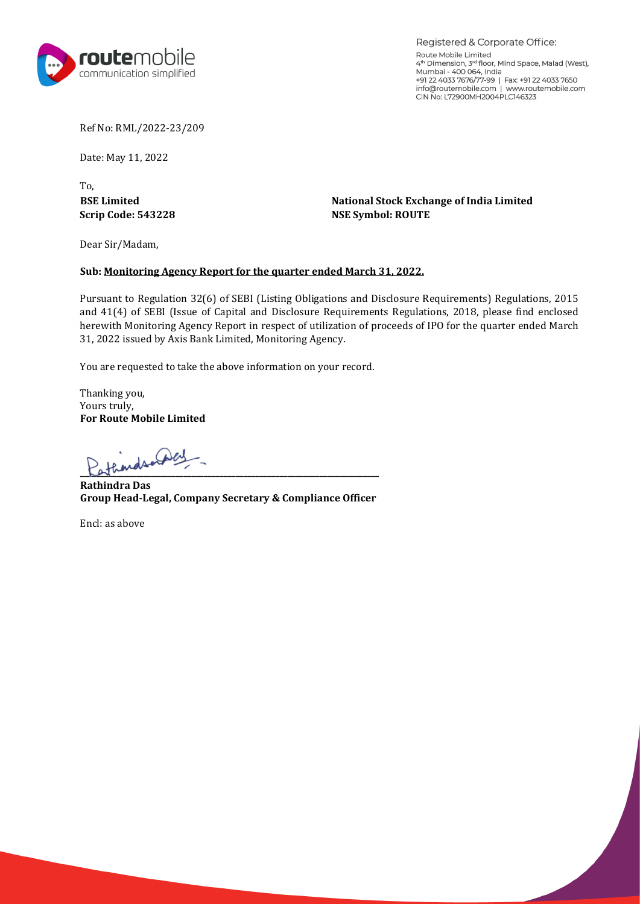

Registered & Corporate Office: Route Mobile Limited 4th Dimension, 3"' floor, Mind Space, Malad (West), Mumbai - 400 064, India +91 22 4033 7676/77-99 I Fax: +91 22 4033 7650 info@routemobile.com I www.routemobile.com CIN No: L72900MH2004PLC146323

Ref No: RML/2022-23/209

Date: May 11, 2022

To,

**BSE Limited**<br> **BSE Limited**<br> **National Stock Exchange of India Limited**<br> **NSE Symbol: ROUTE NSE Symbol: ROUTE** 

Dear Sir/Madam,

#### **Sub: Monitoring Agency Report for the quarter ended March 31, 2022.**

Pursuant to Regulation 32(6) of SEBI (Listing Obligations and Disclosure Requirements) Regulations, 2015 and 41(4) of SEBI (Issue of Capital and Disclosure Requirements Regulations, 2018, please find enclosed herewith Monitoring Agency Report in respect of utilization of proceeds of IPO for the quarter ended March 31, 2022 issued by Axis Bank Limited, Monitoring Agency.

You are requested to take the above information on your record.

Thanking you, Yours truly, **For Route Mobile Limited**

 $L$  at  $L$  and  $L$  and  $L$  and  $L$  and  $L$  and  $L$  and  $L$  and  $L$  and  $L$  and  $L$  and  $L$  and  $L$  and  $L$  and  $L$  and  $L$  and  $L$  and  $L$  and  $L$  and  $L$  and  $L$  and  $L$  and  $L$  and  $L$  and  $L$  and  $L$  and  $L$  and  $L$  an

**Rathindra Das Group Head-Legal, Company Secretary & Compliance Officer**

Encl: as above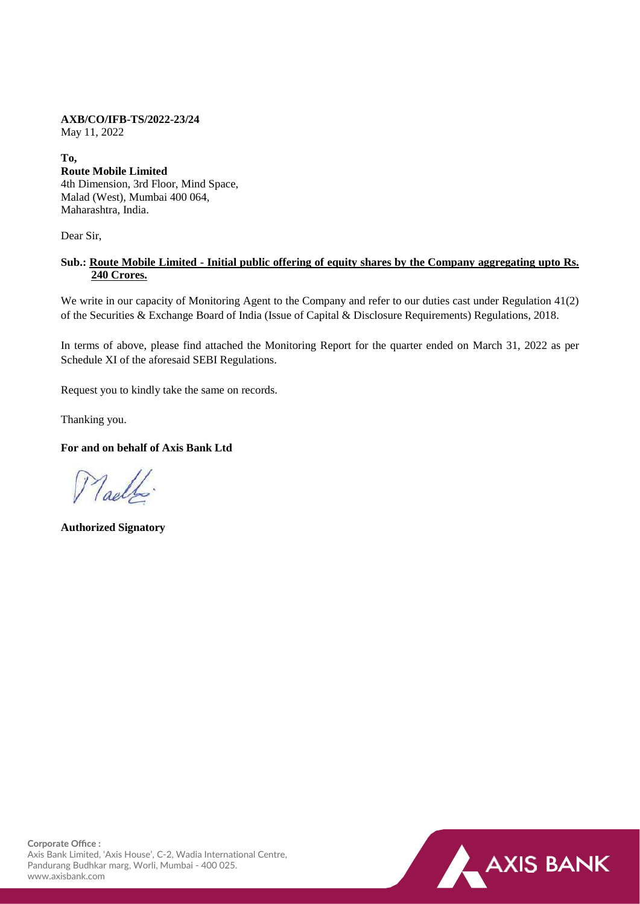# **AXB/CO/IFB-TS/2022-23/24**

May 11, 2022

## **To,**

## **Route Mobile Limited**  4th Dimension, 3rd Floor, Mind Space, Malad (West), Mumbai 400 064, Maharashtra, India.

Dear Sir,

# **Sub.: Route Mobile Limited - Initial public offering of equity shares by the Company aggregating upto Rs. 240 Crores.**

We write in our capacity of Monitoring Agent to the Company and refer to our duties cast under Regulation 41(2) of the Securities & Exchange Board of India (Issue of Capital & Disclosure Requirements) Regulations, 2018.

In terms of above, please find attached the Monitoring Report for the quarter ended on March 31, 2022 as per Schedule XI of the aforesaid SEBI Regulations.

Request you to kindly take the same on records.

Thanking you.

# **For and on behalf of Axis Bank Ltd**

Maello.

**Authorized Signatory**

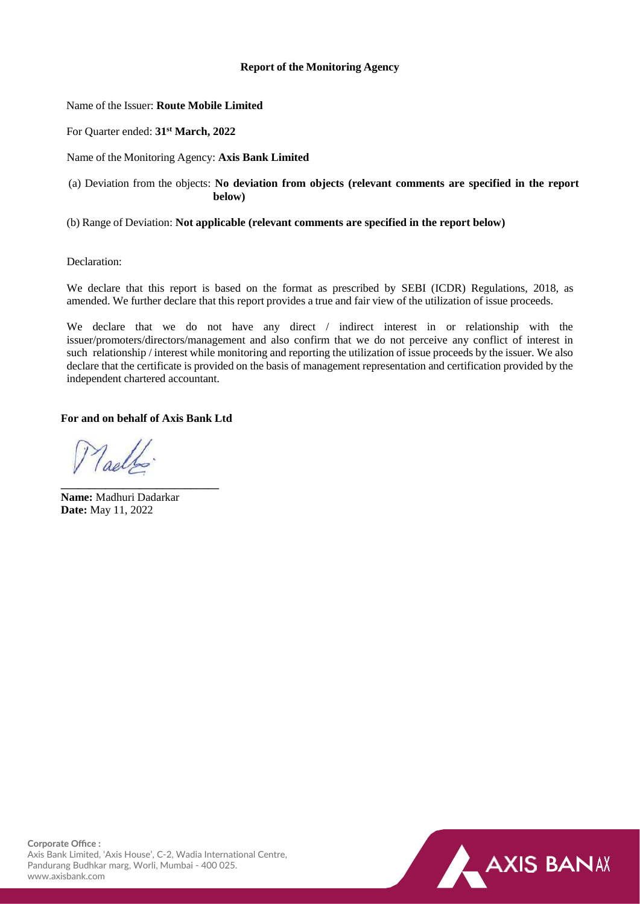### **Report of the Monitoring Agency**

#### Name of the Issuer: **Route Mobile Limited**

For Quarter ended: **31st March, 2022**

Name of the Monitoring Agency: **Axis Bank Limited**

(a) Deviation from the objects: **No deviation from objects (relevant comments are specified in the report below)**

(b) Range of Deviation: **Not applicable (relevant comments are specified in the report below)** 

Declaration:

We declare that this report is based on the format as prescribed by SEBI (ICDR) Regulations, 2018, as amended. We further declare that this report provides a true and fair view of the utilization of issue proceeds.

We declare that we do not have any direct / indirect interest in or relationship with the issuer/promoters/directors/management and also confirm that we do not perceive any conflict of interest in such relationship / interest while monitoring and reporting the utilization of issue proceeds by the issuer. We also declare that the certificate is provided on the basis of management representation and certification provided by the independent chartered accountant.

## **For and on behalf of Axis Bank Ltd**

**\_\_\_\_\_\_\_\_\_\_\_\_\_\_\_\_\_\_\_\_\_\_\_\_\_\_\_\_** 

Toollo.

**Name:** Madhuri Dadarkar **Date:** May 11, 2022

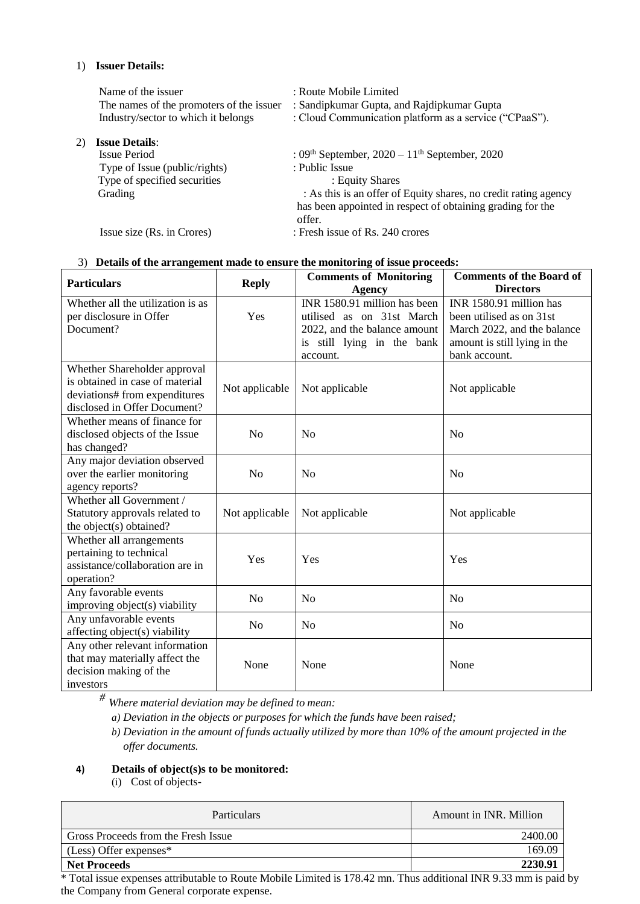### 1) **Issuer Details:**

| Name of the issuer                       | : Route Mobile Limited                                          |
|------------------------------------------|-----------------------------------------------------------------|
| The names of the promoters of the issuer | : Sandipkumar Gupta, and Rajdipkumar Gupta                      |
| Industry/sector to which it belongs      | : Cloud Communication platform as a service ("CPaaS").          |
| <b>Issue Details:</b>                    |                                                                 |
| Issue Period                             | : $09th$ September, $2020 - 11th$ September, 2020               |
| Type of Issue (public/rights)            | : Public Issue                                                  |
| Type of specified securities             | : Equity Shares                                                 |
| Grading                                  | : As this is an offer of Equity shares, no credit rating agency |
|                                          | has been appointed in respect of obtaining grading for the      |
|                                          | offer.                                                          |
| Issue size (Rs. in Crores)               | : Fresh issue of Rs. 240 crores                                 |

# 3) **Details of the arrangement made to ensure the monitoring of issue proceeds:**

| <b>Particulars</b>                                                                                                               | <b>Reply</b>   | <b>Comments of Monitoring</b><br><b>Agency</b>                                                                                      | <b>Comments of the Board of</b><br><b>Directors</b>                                                                                 |
|----------------------------------------------------------------------------------------------------------------------------------|----------------|-------------------------------------------------------------------------------------------------------------------------------------|-------------------------------------------------------------------------------------------------------------------------------------|
| Whether all the utilization is as<br>per disclosure in Offer<br>Document?                                                        | Yes            | INR 1580.91 million has been<br>utilised as on 31st March<br>2022, and the balance amount<br>is still lying in the bank<br>account. | INR 1580.91 million has<br>been utilised as on 31st<br>March 2022, and the balance<br>amount is still lying in the<br>bank account. |
| Whether Shareholder approval<br>is obtained in case of material<br>deviations# from expenditures<br>disclosed in Offer Document? | Not applicable | Not applicable                                                                                                                      | Not applicable                                                                                                                      |
| Whether means of finance for<br>disclosed objects of the Issue<br>has changed?                                                   | No             | N <sub>o</sub>                                                                                                                      | N <sub>o</sub>                                                                                                                      |
| Any major deviation observed<br>over the earlier monitoring<br>agency reports?                                                   | N <sub>o</sub> | No                                                                                                                                  | N <sub>0</sub>                                                                                                                      |
| Whether all Government /<br>Statutory approvals related to<br>the object(s) obtained?                                            | Not applicable | Not applicable                                                                                                                      | Not applicable                                                                                                                      |
| Whether all arrangements<br>pertaining to technical<br>assistance/collaboration are in<br>operation?                             | Yes            | Yes                                                                                                                                 | Yes                                                                                                                                 |
| Any favorable events<br>improving object(s) viability                                                                            | N <sub>o</sub> | N <sub>o</sub>                                                                                                                      | N <sub>o</sub>                                                                                                                      |
| Any unfavorable events<br>affecting object(s) viability                                                                          | N <sub>o</sub> | N <sub>o</sub>                                                                                                                      | No                                                                                                                                  |
| Any other relevant information<br>that may materially affect the<br>decision making of the<br>investors                          | None           | None                                                                                                                                | None                                                                                                                                |

*# Where material deviation may be defined to mean:*

*a) Deviation in the objects or purposes for which the funds have been raised;*

b) Deviation in the amount of funds actually utilized by more than 10% of the amount projected in the *offer documents.*

# **4) Details of object(s)s to be monitored:**

(i) Cost of objects-

| <b>Particulars</b>                  | Amount in INR. Million |
|-------------------------------------|------------------------|
| Gross Proceeds from the Fresh Issue | 2400.00                |
| $(Less)$ Offer expenses*            | 169.09                 |
| <b>Net Proceeds</b>                 | 2230.91                |

\* Total issue expenses attributable to Route Mobile Limited is 178.42 mn. Thus additional INR 9.33 mm is paid by the Company from General corporate expense.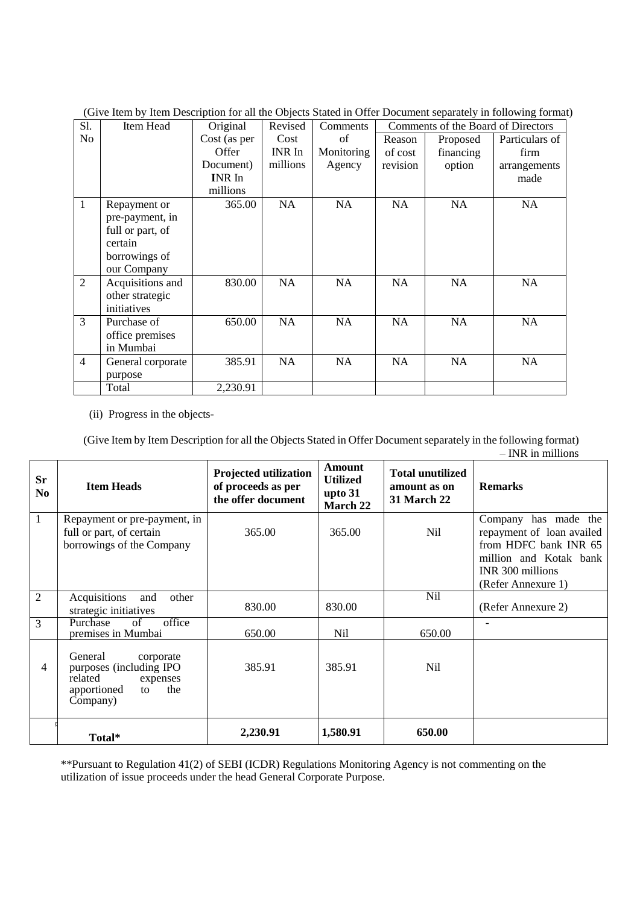| S1.            | Item Head         | Original      | Revised   | Comments   | Comments of the Board of Directors |           |                |
|----------------|-------------------|---------------|-----------|------------|------------------------------------|-----------|----------------|
| No             |                   | Cost (as per  | Cost      | of         | Reason                             | Proposed  | Particulars of |
|                |                   | Offer         | INR In    | Monitoring | of cost                            | financing | firm           |
|                |                   | Document)     | millions  | Agency     | revision                           | option    | arrangements   |
|                |                   | <b>INR</b> In |           |            |                                    |           | made           |
|                |                   | millions      |           |            |                                    |           |                |
| $\mathbf{1}$   | Repayment or      | 365.00        | <b>NA</b> | NA         | <b>NA</b>                          | <b>NA</b> | NA             |
|                | pre-payment, in   |               |           |            |                                    |           |                |
|                | full or part, of  |               |           |            |                                    |           |                |
|                | certain           |               |           |            |                                    |           |                |
|                | borrowings of     |               |           |            |                                    |           |                |
|                | our Company       |               |           |            |                                    |           |                |
| $\overline{2}$ | Acquisitions and  | 830.00        | <b>NA</b> | NA         | <b>NA</b>                          | <b>NA</b> | <b>NA</b>      |
|                | other strategic   |               |           |            |                                    |           |                |
|                | initiatives       |               |           |            |                                    |           |                |
| $\overline{3}$ | Purchase of       | 650.00        | <b>NA</b> | NA         | <b>NA</b>                          | <b>NA</b> | <b>NA</b>      |
|                | office premises   |               |           |            |                                    |           |                |
|                | in Mumbai         |               |           |            |                                    |           |                |
| $\overline{4}$ | General corporate | 385.91        | <b>NA</b> | NA         | <b>NA</b>                          | <b>NA</b> | NA             |
|                | purpose           |               |           |            |                                    |           |                |
|                | Total             | 2,230.91      |           |            |                                    |           |                |

(Give Item by Item Description for all the Objects Stated in Offer Document separately in following format)

(ii) Progress in the objects-

(Give Item by Item Description for all the Objects Stated in Offer Document separately in the following format) – INR in millions

| <b>Sr</b><br>N <sub>0</sub> | <b>Item Heads</b>                                                                                              | <b>Projected utilization</b><br>of proceeds as per<br>the offer document | <b>Amount</b><br><b>Utilized</b><br>upto 31<br><b>March 22</b> | <b>Total unutilized</b><br>amount as on<br><b>31 March 22</b> | <b>Remarks</b>                                                                                                                                 |
|-----------------------------|----------------------------------------------------------------------------------------------------------------|--------------------------------------------------------------------------|----------------------------------------------------------------|---------------------------------------------------------------|------------------------------------------------------------------------------------------------------------------------------------------------|
| $\mathbf{1}$                | Repayment or pre-payment, in<br>full or part, of certain<br>borrowings of the Company                          | 365.00                                                                   | 365.00                                                         | Nil                                                           | Company has made the<br>repayment of loan availed<br>from HDFC bank INR 65<br>million and Kotak bank<br>INR 300 millions<br>(Refer Annexure 1) |
| $\overline{2}$              | Acquisitions<br>and<br>other<br>strategic initiatives                                                          | 830.00                                                                   | 830.00                                                         | Nil                                                           | (Refer Annexure 2)                                                                                                                             |
| 3                           | office<br>Purchase<br>of<br>premises in Mumbai                                                                 | 650.00                                                                   | Nil                                                            | 650.00                                                        | $\overline{\phantom{a}}$                                                                                                                       |
| 4                           | General<br>corporate<br>purposes (including IPO<br>related<br>expenses<br>the<br>apportioned<br>to<br>Company) | 385.91                                                                   | 385.91                                                         | Nil                                                           |                                                                                                                                                |
|                             | Total*                                                                                                         | 2,230.91                                                                 | 1,580.91                                                       | 650.00                                                        |                                                                                                                                                |

\*\*Pursuant to Regulation 41(2) of SEBI (ICDR) Regulations Monitoring Agency is not commenting on the utilization of issue proceeds under the head General Corporate Purpose.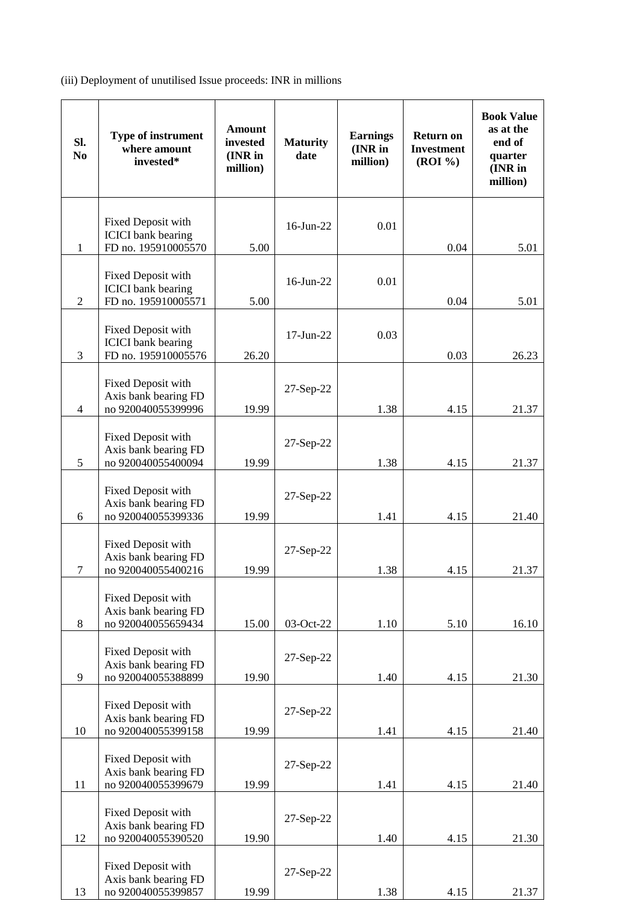(iii) Deployment of unutilised Issue proceeds: INR in millions

| SI.<br>N <sub>0</sub> | Type of instrument<br>where amount<br>invested*                        | <b>Amount</b><br>invested<br>(INR in<br>million) | <b>Maturity</b><br>date | <b>Earnings</b><br>(INR in<br>million) | <b>Return on</b><br><b>Investment</b><br>(ROI %) | <b>Book Value</b><br>as at the<br>end of<br>quarter<br>(INR in<br>million) |
|-----------------------|------------------------------------------------------------------------|--------------------------------------------------|-------------------------|----------------------------------------|--------------------------------------------------|----------------------------------------------------------------------------|
| $\mathbf{1}$          | Fixed Deposit with<br><b>ICICI</b> bank bearing<br>FD no. 195910005570 | 5.00                                             | 16-Jun-22               | 0.01                                   | 0.04                                             | 5.01                                                                       |
| 2                     | Fixed Deposit with<br><b>ICICI</b> bank bearing<br>FD no. 195910005571 | 5.00                                             | 16-Jun-22               | 0.01                                   | 0.04                                             | 5.01                                                                       |
| 3                     | Fixed Deposit with<br><b>ICICI</b> bank bearing<br>FD no. 195910005576 | 26.20                                            | 17-Jun-22               | 0.03                                   | 0.03                                             | 26.23                                                                      |
| $\overline{4}$        | Fixed Deposit with<br>Axis bank bearing FD<br>no 920040055399996       | 19.99                                            | 27-Sep-22               | 1.38                                   | 4.15                                             | 21.37                                                                      |
| 5                     | Fixed Deposit with<br>Axis bank bearing FD<br>no 920040055400094       | 19.99                                            | 27-Sep-22               | 1.38                                   | 4.15                                             | 21.37                                                                      |
| 6                     | Fixed Deposit with<br>Axis bank bearing FD<br>no 920040055399336       | 19.99                                            | 27-Sep-22               | 1.41                                   | 4.15                                             | 21.40                                                                      |
| 7                     | Fixed Deposit with<br>Axis bank bearing FD<br>no 920040055400216       | 19.99                                            | 27-Sep-22               | 1.38                                   | 4.15                                             | 21.37                                                                      |
| 8                     | Fixed Deposit with<br>Axis bank bearing FD<br>no 920040055659434       | 15.00                                            | 03-Oct-22               | 1.10                                   | 5.10                                             | 16.10                                                                      |
| 9                     | Fixed Deposit with<br>Axis bank bearing FD<br>no 920040055388899       | 19.90                                            | $27-Sep-22$             | 1.40                                   | 4.15                                             | 21.30                                                                      |
| 10                    | Fixed Deposit with<br>Axis bank bearing FD<br>no 920040055399158       | 19.99                                            | 27-Sep-22               | 1.41                                   | 4.15                                             | 21.40                                                                      |
| 11                    | Fixed Deposit with<br>Axis bank bearing FD<br>no 920040055399679       | 19.99                                            | 27-Sep-22               | 1.41                                   | 4.15                                             | 21.40                                                                      |
| 12                    | Fixed Deposit with<br>Axis bank bearing FD<br>no 920040055390520       | 19.90                                            | 27-Sep-22               | 1.40                                   | 4.15                                             | 21.30                                                                      |
| 13                    | Fixed Deposit with<br>Axis bank bearing FD<br>no 920040055399857       | 19.99                                            | 27-Sep-22               | 1.38                                   | 4.15                                             | 21.37                                                                      |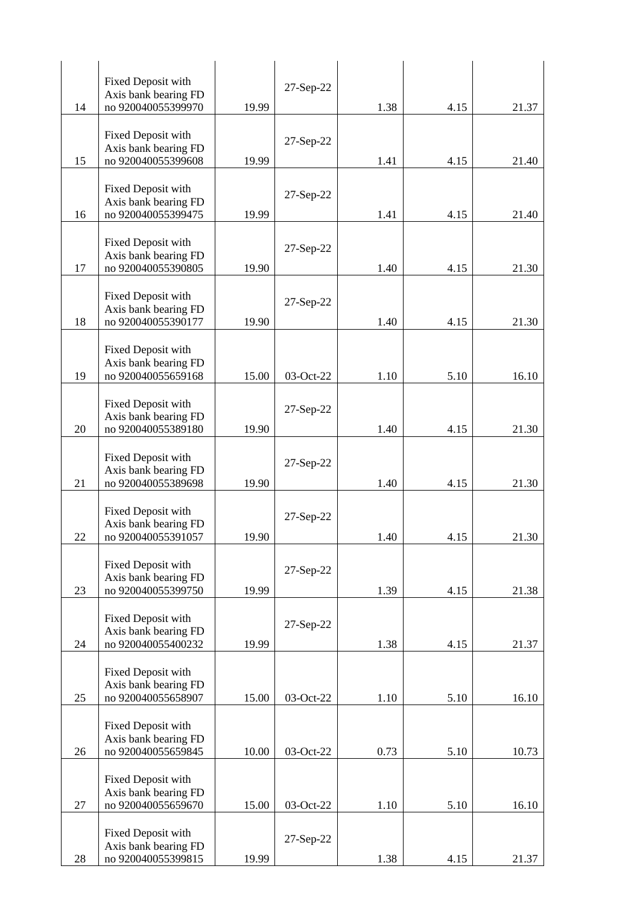|    | Fixed Deposit with                         |       | 27-Sep-22 |      |      |       |
|----|--------------------------------------------|-------|-----------|------|------|-------|
|    | Axis bank bearing FD<br>no 920040055399970 |       |           |      |      |       |
| 14 |                                            | 19.99 |           | 1.38 | 4.15 | 21.37 |
|    | Fixed Deposit with                         |       |           |      |      |       |
|    | Axis bank bearing FD                       |       | 27-Sep-22 |      |      |       |
| 15 | no 920040055399608                         | 19.99 |           | 1.41 | 4.15 | 21.40 |
|    | Fixed Deposit with                         |       |           |      |      |       |
|    | Axis bank bearing FD                       |       | 27-Sep-22 |      |      |       |
| 16 | no 920040055399475                         | 19.99 |           | 1.41 | 4.15 | 21.40 |
|    | Fixed Deposit with                         |       |           |      |      |       |
|    | Axis bank bearing FD                       |       | 27-Sep-22 |      |      |       |
| 17 | no 920040055390805                         | 19.90 |           | 1.40 | 4.15 | 21.30 |
|    |                                            |       |           |      |      |       |
|    | Fixed Deposit with<br>Axis bank bearing FD |       | 27-Sep-22 |      |      |       |
| 18 | no 920040055390177                         | 19.90 |           | 1.40 | 4.15 | 21.30 |
|    |                                            |       |           |      |      |       |
|    | Fixed Deposit with<br>Axis bank bearing FD |       |           |      |      |       |
| 19 | no 920040055659168                         | 15.00 | 03-Oct-22 | 1.10 | 5.10 | 16.10 |
|    |                                            |       |           |      |      |       |
|    | Fixed Deposit with                         |       | 27-Sep-22 |      |      |       |
| 20 | Axis bank bearing FD<br>no 920040055389180 | 19.90 |           | 1.40 | 4.15 | 21.30 |
|    |                                            |       |           |      |      |       |
|    | Fixed Deposit with                         |       | 27-Sep-22 |      |      |       |
| 21 | Axis bank bearing FD<br>no 920040055389698 | 19.90 |           | 1.40 | 4.15 | 21.30 |
|    |                                            |       |           |      |      |       |
|    | Fixed Deposit with                         |       | 27-Sep-22 |      |      |       |
|    | Axis bank bearing FD                       |       |           |      |      |       |
| 22 | no 920040055391057                         | 19.90 |           | 1.40 | 4.15 | 21.30 |
|    | Fixed Deposit with                         |       |           |      |      |       |
|    | Axis bank bearing FD                       |       | 27-Sep-22 |      |      |       |
| 23 | no 920040055399750                         | 19.99 |           | 1.39 | 4.15 | 21.38 |
|    | Fixed Deposit with                         |       |           |      |      |       |
|    | Axis bank bearing FD                       |       | 27-Sep-22 |      |      |       |
| 24 | no 920040055400232                         | 19.99 |           | 1.38 | 4.15 | 21.37 |
|    | Fixed Deposit with                         |       |           |      |      |       |
|    | Axis bank bearing FD                       |       |           |      |      |       |
| 25 | no 920040055658907                         | 15.00 | 03-Oct-22 | 1.10 | 5.10 | 16.10 |
|    |                                            |       |           |      |      |       |
|    | Fixed Deposit with<br>Axis bank bearing FD |       |           |      |      |       |
| 26 | no 920040055659845                         | 10.00 | 03-Oct-22 | 0.73 | 5.10 | 10.73 |
|    |                                            |       |           |      |      |       |
|    | Fixed Deposit with<br>Axis bank bearing FD |       |           |      |      |       |
| 27 | no 920040055659670                         | 15.00 | 03-Oct-22 | 1.10 | 5.10 | 16.10 |
|    |                                            |       |           |      |      |       |
|    | Fixed Deposit with                         |       | 27-Sep-22 |      |      |       |
| 28 | Axis bank bearing FD<br>no 920040055399815 | 19.99 |           | 1.38 | 4.15 | 21.37 |
|    |                                            |       |           |      |      |       |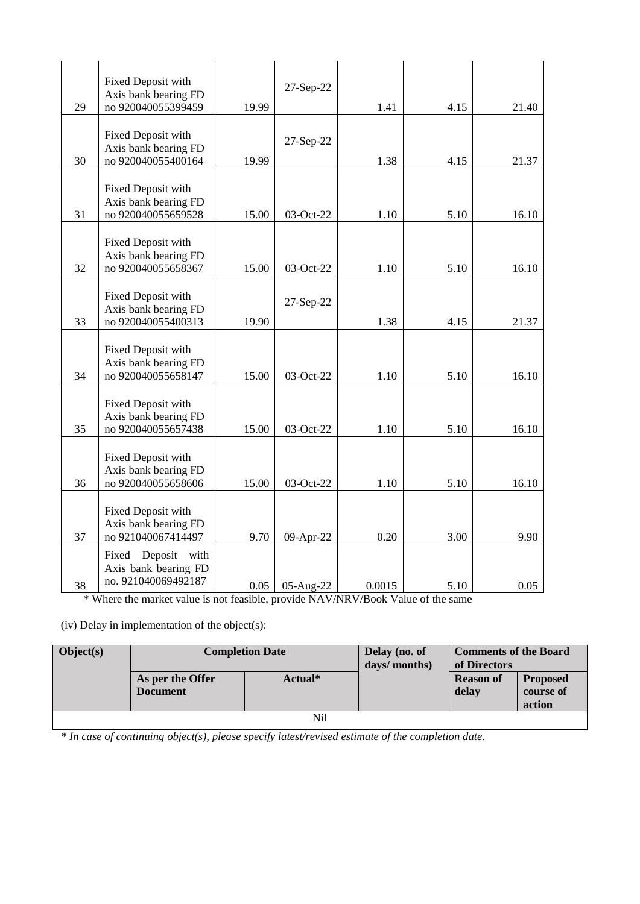| 29 | Fixed Deposit with<br>Axis bank bearing FD<br>no 920040055399459     | 19.99 | 27-Sep-22 | 1.41   | 4.15 | 21.40 |
|----|----------------------------------------------------------------------|-------|-----------|--------|------|-------|
| 30 | Fixed Deposit with<br>Axis bank bearing FD<br>no 920040055400164     | 19.99 | 27-Sep-22 | 1.38   | 4.15 | 21.37 |
| 31 | Fixed Deposit with<br>Axis bank bearing FD<br>no 920040055659528     | 15.00 | 03-Oct-22 | 1.10   | 5.10 | 16.10 |
| 32 | Fixed Deposit with<br>Axis bank bearing FD<br>no 920040055658367     | 15.00 | 03-Oct-22 | 1.10   | 5.10 | 16.10 |
| 33 | Fixed Deposit with<br>Axis bank bearing FD<br>no 920040055400313     | 19.90 | 27-Sep-22 | 1.38   | 4.15 | 21.37 |
| 34 | Fixed Deposit with<br>Axis bank bearing FD<br>no 920040055658147     | 15.00 | 03-Oct-22 | 1.10   | 5.10 | 16.10 |
| 35 | Fixed Deposit with<br>Axis bank bearing FD<br>no 920040055657438     | 15.00 | 03-Oct-22 | 1.10   | 5.10 | 16.10 |
| 36 | Fixed Deposit with<br>Axis bank bearing FD<br>no 920040055658606     | 15.00 | 03-Oct-22 | 1.10   | 5.10 | 16.10 |
| 37 | Fixed Deposit with<br>Axis bank bearing FD<br>no 921040067414497     | 9.70  | 09-Apr-22 | 0.20   | 3.00 | 9.90  |
| 38 | Deposit with<br>Fixed<br>Axis bank bearing FD<br>no. 921040069492187 | 0.05  | 05-Aug-22 | 0.0015 | 5.10 | 0.05  |

\* Where the market value is not feasible, provide NAV/NRV/Book Value of the same

(iv) Delay in implementation of the object(s):

| <b>Object(s)</b> |                                     | <b>Completion Date</b> | Delay (no. of<br>days/ months) | <b>Comments of the Board</b><br>of Directors |                                        |
|------------------|-------------------------------------|------------------------|--------------------------------|----------------------------------------------|----------------------------------------|
|                  | As per the Offer<br><b>Document</b> | Actual*                |                                | <b>Reason of</b><br>delay                    | <b>Proposed</b><br>course of<br>action |
|                  |                                     | Nil                    |                                |                                              |                                        |

*\* In case of continuing object(s), please specify latest/revised estimate of the completion date.*